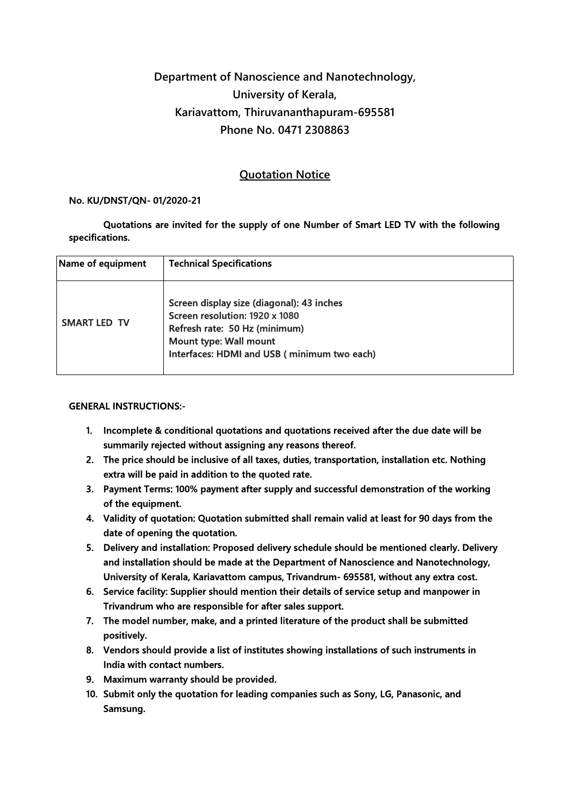## Department of Nanoscience and Nanotechnology, University of Kerala, Kariavattom, Thiruvananthapuram-695581 Phone No. 0471 2308863

## Quotation Notice

## No. KU/DNST/QN- 01/2020-21

Quotations are invited for the supply of one Number of Smart LED TV with the following specifications.

| Name of equipment   | <b>Technical Specifications</b>                                                                                                                                                       |
|---------------------|---------------------------------------------------------------------------------------------------------------------------------------------------------------------------------------|
| <b>SMART LED TV</b> | Screen display size (diagonal): 43 inches<br>Screen resolution: 1920 x 1080<br>Refresh rate: 50 Hz (minimum)<br>Mount type: Wall mount<br>Interfaces: HDMI and USB (minimum two each) |

## GENERAL INSTRUCTIONS:-

- 1. Incomplete & conditional quotations and quotations received after the due date will be summarily rejected without assigning any reasons thereof.
- 2. The price should be inclusive of all taxes, duties, transportation, installation etc. Nothing extra will be paid in addition to the quoted rate.
- 3. Payment Terms: 100% payment after supply and successful demonstration of the working of the equipment.
- 4. Validity of quotation: Quotation submitted shall remain valid at least for 90 days from the date of opening the quotation.
- 5. Delivery and installation: Proposed delivery schedule should be mentioned clearly. Delivery and installation should be made at the Department of Nanoscience and Nanotechnology, University of Kerala, Kariavattom campus, Trivandrum- 695581, without any extra cost.
- 6. Service facility: Supplier should mention their details of service setup and manpower in Trivandrum who are responsible for after sales support.
- 7. The model number, make, and a printed literature of the product shall be submitted positively.
- 8. Vendors should provide a list of institutes showing installations of such instruments in India with contact numbers.
- 9. Maximum warranty should be provided.
- 10. Submit only the quotation for leading companies such as Sony, LG, Panasonic, and Samsung.